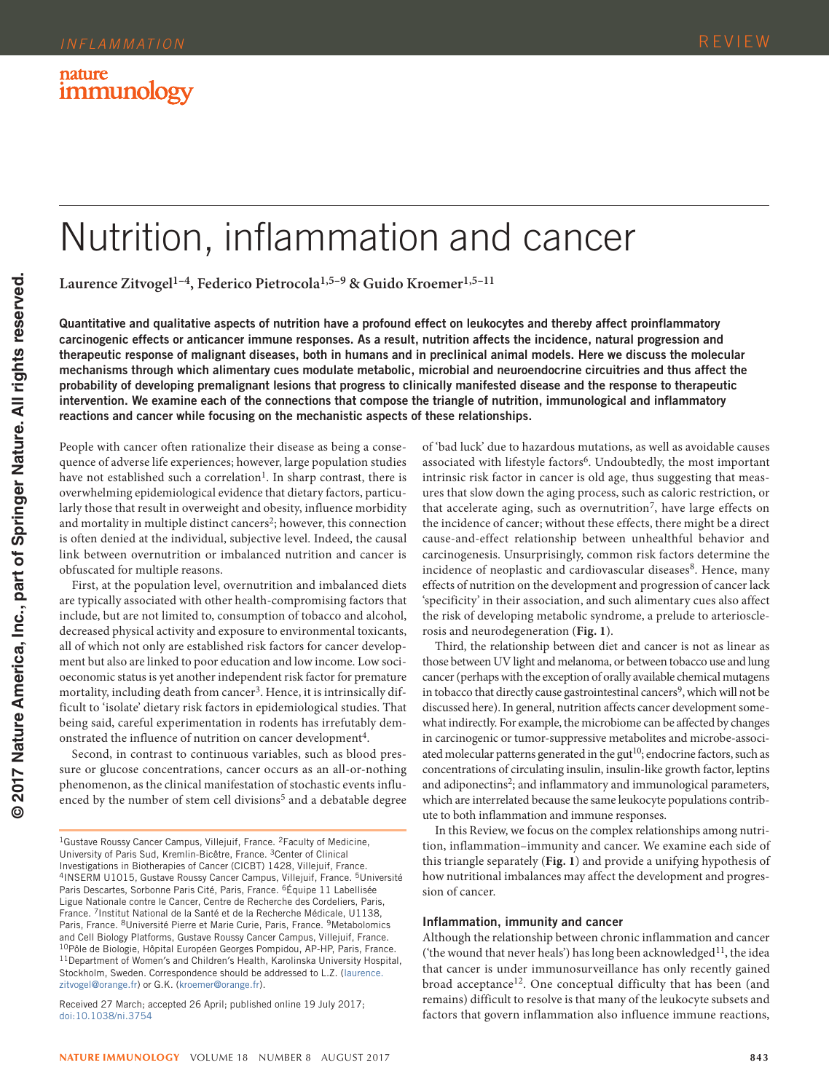# Nutrition, inflammation and cancer

**Laurence Zitvogel1–4, Federico Pietrocola1,5–9 & Guido Kroemer1,5–11**

Quantitative and qualitative aspects of nutrition have a profound effect on leukocytes and thereby affect proinflammatory carcinogenic effects or anticancer immune responses. As a result, nutrition affects the incidence, natural progression and therapeutic response of malignant diseases, both in humans and in preclinical animal models. Here we discuss the molecular mechanisms through which alimentary cues modulate metabolic, microbial and neuroendocrine circuitries and thus affect the probability of developing premalignant lesions that progress to clinically manifested disease and the response to therapeutic intervention. We examine each of the connections that compose the triangle of nutrition, immunological and inflammatory reactions and cancer while focusing on the mechanistic aspects of these relationships.

People with cancer often rationalize their disease as being a consequence of adverse life experiences; however, large population studies have not established such a correlation<sup>1</sup>. In sharp contrast, there is overwhelming epidemiological evidence that dietary factors, particularly those that result in overweight and obesity, influence morbidity and mortality in multiple distinct cancers<sup>[2](#page-5-1)</sup>; however, this connection is often denied at the individual, subjective level. Indeed, the causal link between overnutrition or imbalanced nutrition and cancer is obfuscated for multiple reasons.

First, at the population level, overnutrition and imbalanced diets are typically associated with other health-compromising factors that include, but are not limited to, consumption of tobacco and alcohol, decreased physical activity and exposure to environmental toxicants, all of which not only are established risk factors for cancer development but also are linked to poor education and low income. Low socioeconomic status is yet another independent risk factor for premature mortality, including death from cancer<sup>[3](#page-5-2)</sup>. Hence, it is intrinsically difficult to 'isolate' dietary risk factors in epidemiological studies. That being said, careful experimentation in rodents has irrefutably demonstrated the influence of nutrition on cancer development<sup>4</sup>.

Second, in contrast to continuous variables, such as blood pressure or glucose concentrations, cancer occurs as an all-or-nothing phenomenon, as the clinical manifestation of stochastic events influ-enced by the number of stem cell divisions<sup>[5](#page-5-4)</sup> and a debatable degree

of 'bad luck' due to hazardous mutations, as well as avoidable causes associated with lifestyle factors<sup>6</sup>. Undoubtedly, the most important intrinsic risk factor in cancer is old age, thus suggesting that measures that slow down the aging process, such as caloric restriction, or that accelerate aging, such as overnutrition<sup>[7](#page-5-6)</sup>, have large effects on the incidence of cancer; without these effects, there might be a direct cause-and-effect relationship between unhealthful behavior and carcinogenesis. Unsurprisingly, common risk factors determine the incidence of neoplastic and cardiovascular diseases<sup>8</sup>. Hence, many effects of nutrition on the development and progression of cancer lack 'specificity' in their association, and such alimentary cues also affect the risk of developing metabolic syndrome, a prelude to arteriosclerosis and neurodegeneration (**[Fig. 1](#page-1-0)**).

Third, the relationship between diet and cancer is not as linear as those between UV light and melanoma, or between tobacco use and lung cancer (perhaps with the exception of orally available chemical mutagens in tobacco that directly cause gastrointestinal cancers<sup>9</sup>, which will not be discussed here). In general, nutrition affects cancer development somewhat indirectly. For example, the microbiome can be affected by changes in carcinogenic or tumor-suppressive metabolites and microbe-associated molecular patterns generated in the gut<sup>10</sup>; endocrine factors, such as concentrations of circulating insulin, insulin-like growth factor, leptins and adiponectins<sup>[2](#page-5-1)</sup>; and inflammatory and immunological parameters, which are interrelated because the same leukocyte populations contribute to both inflammation and immune responses.

In this Review, we focus on the complex relationships among nutrition, inflammation–immunity and cancer. We examine each side of this triangle separately (**[Fig. 1](#page-1-0)**) and provide a unifying hypothesis of how nutritional imbalances may affect the development and progression of cancer.

# Inflammation, immunity and cancer

Although the relationship between chronic inflammation and cancer ('the wound that never heals') has long been acknowledged<sup>[11](#page-5-10)</sup>, the idea that cancer is under immunosurveillance has only recently gained broad acceptance<sup>12</sup>. One conceptual difficulty that has been (and remains) difficult to resolve is that many of the leukocyte subsets and factors that govern inflammation also influence immune reactions,

<sup>1</sup>Gustave Roussy Cancer Campus, Villejuif, France. 2Faculty of Medicine, University of Paris Sud, Kremlin-Bicêtre, France. 3Center of Clinical Investigations in Biotherapies of Cancer (CICBT) 1428, Villejuif, France. 4INSERM U1015, Gustave Roussy Cancer Campus, Villejuif, France. 5Université Paris Descartes, Sorbonne Paris Cité, Paris, France. 6Équipe 11 Labellisée Ligue Nationale contre le Cancer, Centre de Recherche des Cordeliers, Paris, France. 7Institut National de la Santé et de la Recherche Médicale, U1138, Paris, France. 8Université Pierre et Marie Curie, Paris, France. 9Metabolomics and Cell Biology Platforms, Gustave Roussy Cancer Campus, Villejuif, France. <sup>10</sup>Pôle de Biologie, Hôpital Européen Georges Pompidou, AP-HP, Paris, France.<br><sup>11</sup>Department of Women's and Children's Health, Karolinska University Hospital, Stockholm, Sweden. Correspondence should be addressed to L.Z. (laurence. zitvogel@orange.fr) or G.K. (kroemer@orange.fr).

Received 27 March; accepted 26 April; published online 19 July 2017; [doi:10.1038/ni.3754](http://dx.doi.org/10.1038/ni.3754)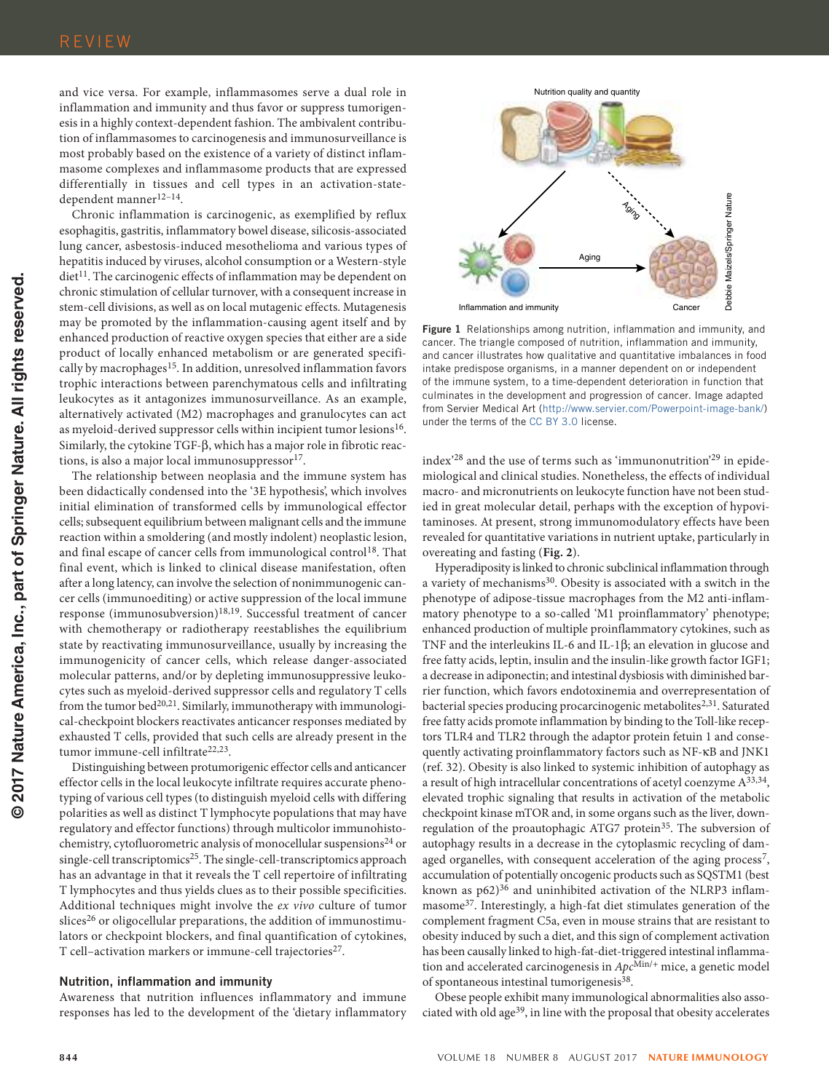and vice versa. For example, inflammasomes serve a dual role in inflammation and immunity and thus favor or suppress tumorigenesis in a highly context-dependent fashion. The ambivalent contribution of inflammasomes to carcinogenesis and immunosurveillance is most probably based on the existence of a variety of distinct inflammasome complexes and inflammasome products that are expressed differentially in tissues and cell types in an activation-state-dependent manner<sup>12-[14](#page-5-12)</sup>.

Chronic inflammation is carcinogenic, as exemplified by reflux esophagitis, gastritis, inflammatory bowel disease, silicosis-associated lung cancer, asbestosis-induced mesothelioma and various types of hepatitis induced by viruses, alcohol consumption or a Western-style diet<sup>11</sup>. The carcinogenic effects of inflammation may be dependent on chronic stimulation of cellular turnover, with a consequent increase in stem-cell divisions, as well as on local mutagenic effects. Mutagenesis may be promoted by the inflammation-causing agent itself and by enhanced production of reactive oxygen species that either are a side product of locally enhanced metabolism or are generated specifically by macrophages<sup>15</sup>. In addition, unresolved inflammation favors trophic interactions between parenchymatous cells and infiltrating leukocytes as it antagonizes immunosurveillance. As an example, alternatively activated (M2) macrophages and granulocytes can act as myeloid-derived suppressor cells within incipient tumor lesions<sup>[16](#page-5-14)</sup>. Similarly, the cytokine TGF-β, which has a major role in fibrotic reactions, is also a major local immunosuppressor $17$ .

The relationship between neoplasia and the immune system has been didactically condensed into the '3E hypothesis', which involves initial elimination of transformed cells by immunological effector cells; subsequent equilibrium between malignant cells and the immune reaction within a smoldering (and mostly indolent) neoplastic lesion, and final escape of cancer cells from immunological control<sup>18</sup>. That final event, which is linked to clinical disease manifestation, often after a long latency, can involve the selection of nonimmunogenic cancer cells (immunoediting) or active suppression of the local immune response (immunosubversion)[18,](#page-6-1)[19.](#page-6-2) Successful treatment of cancer with chemotherapy or radiotherapy reestablishes the equilibrium state by reactivating immunosurveillance, usually by increasing the immunogenicity of cancer cells, which release danger-associated molecular patterns, and/or by depleting immunosuppressive leukocytes such as myeloid-derived suppressor cells and regulatory T cells from the tumor bed $^{20,21}$ . Similarly, immunotherapy with immunological-checkpoint blockers reactivates anticancer responses mediated by exhausted T cells, provided that such cells are already present in the tumor immune-cell infiltrate<sup>[22,](#page-6-5)23</sup>.

Distinguishing between protumorigenic effector cells and anticancer effector cells in the local leukocyte infiltrate requires accurate phenotyping of various cell types (to distinguish myeloid cells with differing polarities as well as distinct T lymphocyte populations that may have regulatory and effector functions) through multicolor immunohistochemistry, cytofluorometric analysis of monocellular suspensions<sup>24</sup> or single-cell transcriptomics<sup>25</sup>. The single-cell-transcriptomics approach has an advantage in that it reveals the T cell repertoire of infiltrating T lymphocytes and thus yields clues as to their possible specificities. Additional techniques might involve the *ex vivo* culture of tumor slices<sup>26</sup> or oligocellular preparations, the addition of immunostimulators or checkpoint blockers, and final quantification of cytokines, T cell-activation markers or immune-cell trajectories<sup>[27](#page-6-10)</sup>.

## Nutrition, inflammation and immunity

Awareness that nutrition influences inflammatory and immune responses has led to the development of the 'dietary inflammatory



<span id="page-1-0"></span>Figure 1 Relationships among nutrition, inflammation and immunity, and cancer. The triangle composed of nutrition, inflammation and immunity, and cancer illustrates how qualitative and quantitative imbalances in food intake predispose organisms, in a manner dependent on or independent of the immune system, to a time-dependent deterioration in function that culminates in the development and progression of cancer. Image adapted from Servier Medical Art (<http://www.servier.com/Powerpoint-image-bank/>) under the terms of the [CC BY 3.0](http://creativecommons.org/licenses/by/3.0/) license.

index'[28](#page-6-11) and the use of terms such as 'immunonutrition'[29](#page-6-12) in epidemiological and clinical studies. Nonetheless, the effects of individual macro- and micronutrients on leukocyte function have not been studied in great molecular detail, perhaps with the exception of hypovitaminoses. At present, strong immunomodulatory effects have been revealed for quantitative variations in nutrient uptake, particularly in overeating and fasting (**[Fig. 2](#page-2-0)**).

Hyperadiposity is linked to chronic subclinical inflammation through a variety of mechanisms<sup>[30](#page-6-13)</sup>. Obesity is associated with a switch in the phenotype of adipose-tissue macrophages from the M2 anti-inflammatory phenotype to a so-called 'M1 proinflammatory' phenotype; enhanced production of multiple proinflammatory cytokines, such as TNF and the interleukins IL-6 and IL-1β; an elevation in glucose and free fatty acids, leptin, insulin and the insulin-like growth factor IGF1; a decrease in adiponectin; and intestinal dysbiosis with diminished barrier function, which favors endotoxinemia and overrepresentation of bacterial species producing procarcinogenic metabolites<sup>[2,](#page-5-1)31</sup>. Saturated free fatty acids promote inflammation by binding to the Toll-like receptors TLR4 and TLR2 through the adaptor protein fetuin 1 and consequently activating proinflammatory factors such as NF-κB and JNK1 (ref. [32](#page-6-15)). Obesity is also linked to systemic inhibition of autophagy as a result of high intracellular concentrations of acetyl coenzyme A[33,](#page-6-16)[34](#page-6-17), elevated trophic signaling that results in activation of the metabolic checkpoint kinase mTOR and, in some organs such as the liver, down-regulation of the proautophagic ATG7 protein<sup>[35](#page-6-18)</sup>. The subversion of autophagy results in a decrease in the cytoplasmic recycling of dam-aged organelles, with consequent acceleration of the aging process<sup>[7](#page-5-6)</sup>, accumulation of potentially oncogenic products such as SQSTM1 (best known as  $p62$ <sup>36</sup> and uninhibited activation of the NLRP3 inflammasome[37.](#page-6-20) Interestingly, a high-fat diet stimulates generation of the complement fragment C5a, even in mouse strains that are resistant to obesity induced by such a diet, and this sign of complement activation has been causally linked to high-fat-diet-triggered intestinal inflammation and accelerated carcinogenesis in *Apc*Min/+ mice, a genetic model of spontaneous intestinal tumorigenesis<sup>38</sup>.

Obese people exhibit many immunological abnormalities also asso-ciated with old age<sup>[39](#page-6-22)</sup>, in line with the proposal that obesity accelerates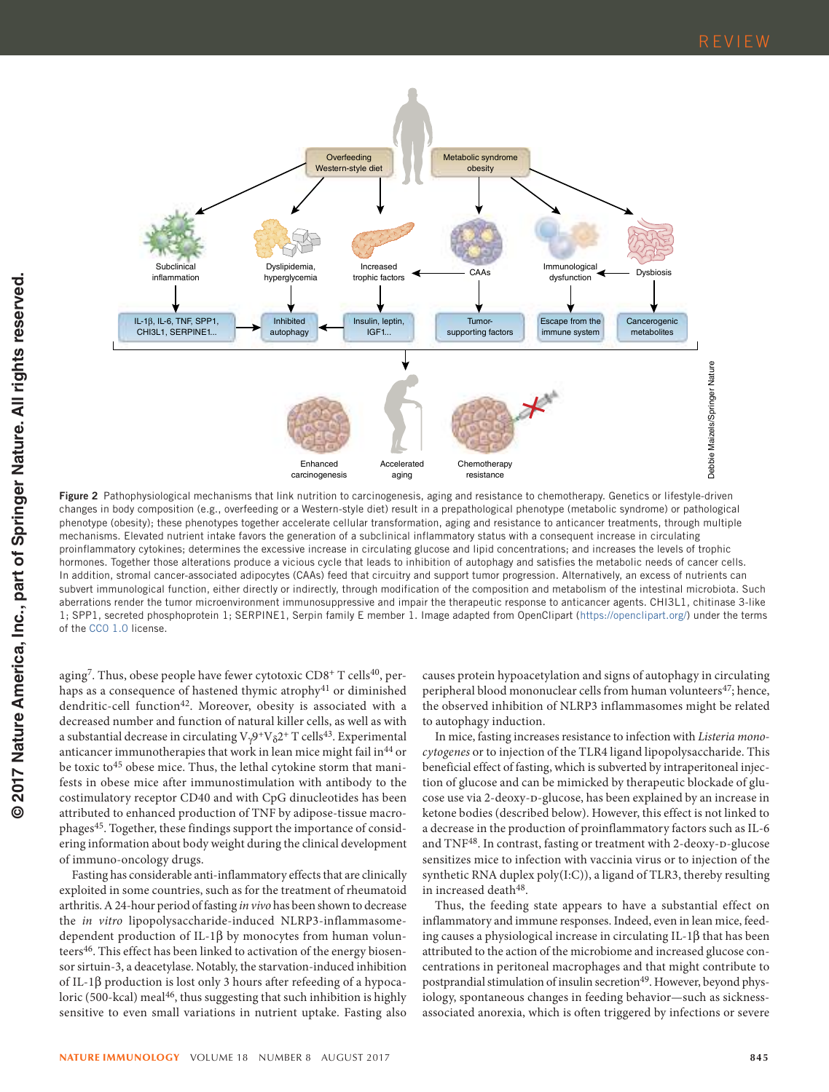



<span id="page-2-0"></span>Figure 2 Pathophysiological mechanisms that link nutrition to carcinogenesis, aging and resistance to chemotherapy. Genetics or lifestyle-driven changes in body composition (e.g., overfeeding or a Western-style diet) result in a prepathological phenotype (metabolic syndrome) or pathological phenotype (obesity); these phenotypes together accelerate cellular transformation, aging and resistance to anticancer treatments, through multiple mechanisms. Elevated nutrient intake favors the generation of a subclinical inflammatory status with a consequent increase in circulating proinflammatory cytokines; determines the excessive increase in circulating glucose and lipid concentrations; and increases the levels of trophic hormones. Together those alterations produce a vicious cycle that leads to inhibition of autophagy and satisfies the metabolic needs of cancer cells. In addition, stromal cancer-associated adipocytes (CAAs) feed that circuitry and support tumor progression. Alternatively, an excess of nutrients can subvert immunological function, either directly or indirectly, through modification of the composition and metabolism of the intestinal microbiota. Such aberrations render the tumor microenvironment immunosuppressive and impair the therapeutic response to anticancer agents. CHI3L1, chitinase 3-like 1; SPP1, secreted phosphoprotein 1; SERPINE1, Serpin family E member 1. Image adapted from OpenClipart (<https://openclipart.org/>) under the terms of the [CC0 1.0](https://creativecommons.org/publicdomain/zero/1.0/) license.

aging<sup>[7](#page-5-6)</sup>. Thus, obese people have fewer cytotoxic CD8<sup>+</sup> T cells<sup>40</sup>, perhaps as a consequence of hastened thymic atrophy<sup>41</sup> or diminished dendritic-cell function<sup>[42](#page-6-25)</sup>. Moreover, obesity is associated with a decreased number and function of natural killer cells, as well as with a substantial decrease in circulating  $V_{\gamma}9^+V_{\delta}2^+$  T cells<sup>[43](#page-6-26)</sup>. Experimental anticancer immunotherapies that work in lean mice might fail in<sup>44</sup> or be toxic to<sup>45</sup> obese mice. Thus, the lethal cytokine storm that manifests in obese mice after immunostimulation with antibody to the costimulatory receptor CD40 and with CpG dinucleotides has been attributed to enhanced production of TNF by adipose-tissue macrophages[45](#page-6-28). Together, these findings support the importance of considering information about body weight during the clinical development of immuno-oncology drugs.

Fasting has considerable anti-inflammatory effects that are clinically exploited in some countries, such as for the treatment of rheumatoid arthritis. A 24-hour period of fasting *in vivo* has been shown to decrease the *in vitro* lipopolysaccharide-induced NLRP3-inflammasomedependent production of IL-1β by monocytes from human volun-teers<sup>[46](#page-6-29)</sup>. This effect has been linked to activation of the energy biosensor sirtuin-3, a deacetylase. Notably, the starvation-induced inhibition of IL-1β production is lost only 3 hours after refeeding of a hypoca-loric (500-kcal) meal<sup>[46](#page-6-29)</sup>, thus suggesting that such inhibition is highly sensitive to even small variations in nutrient uptake. Fasting also

causes protein hypoacetylation and signs of autophagy in circulating peripheral blood mononuclear cells from human volunteers<sup>[47](#page-6-30)</sup>; hence, the observed inhibition of NLRP3 inflammasomes might be related to autophagy induction.

In mice, fasting increases resistance to infection with *Listeria monocytogenes* or to injection of the TLR4 ligand lipopolysaccharide. This beneficial effect of fasting, which is subverted by intraperitoneal injection of glucose and can be mimicked by therapeutic blockade of glucose use via 2-deoxy-p-glucose, has been explained by an increase in ketone bodies (described below). However, this effect is not linked to a decrease in the production of proinflammatory factors such as IL-6 and  $TNF^{48}$  $TNF^{48}$  $TNF^{48}$ . In contrast, fasting or treatment with 2-deoxy-p-glucose sensitizes mice to infection with vaccinia virus or to injection of the synthetic RNA duplex poly(I:C)), a ligand of TLR3, thereby resulting in increased death<sup>[48](#page-6-31)</sup>.

Thus, the feeding state appears to have a substantial effect on inflammatory and immune responses. Indeed, even in lean mice, feeding causes a physiological increase in circulating IL-1β that has been attributed to the action of the microbiome and increased glucose concentrations in peritoneal macrophages and that might contribute to postprandial stimulation of insulin secretion<sup>[49](#page-6-32)</sup>. However, beyond physiology, spontaneous changes in feeding behavior—such as sicknessassociated anorexia, which is often triggered by infections or severe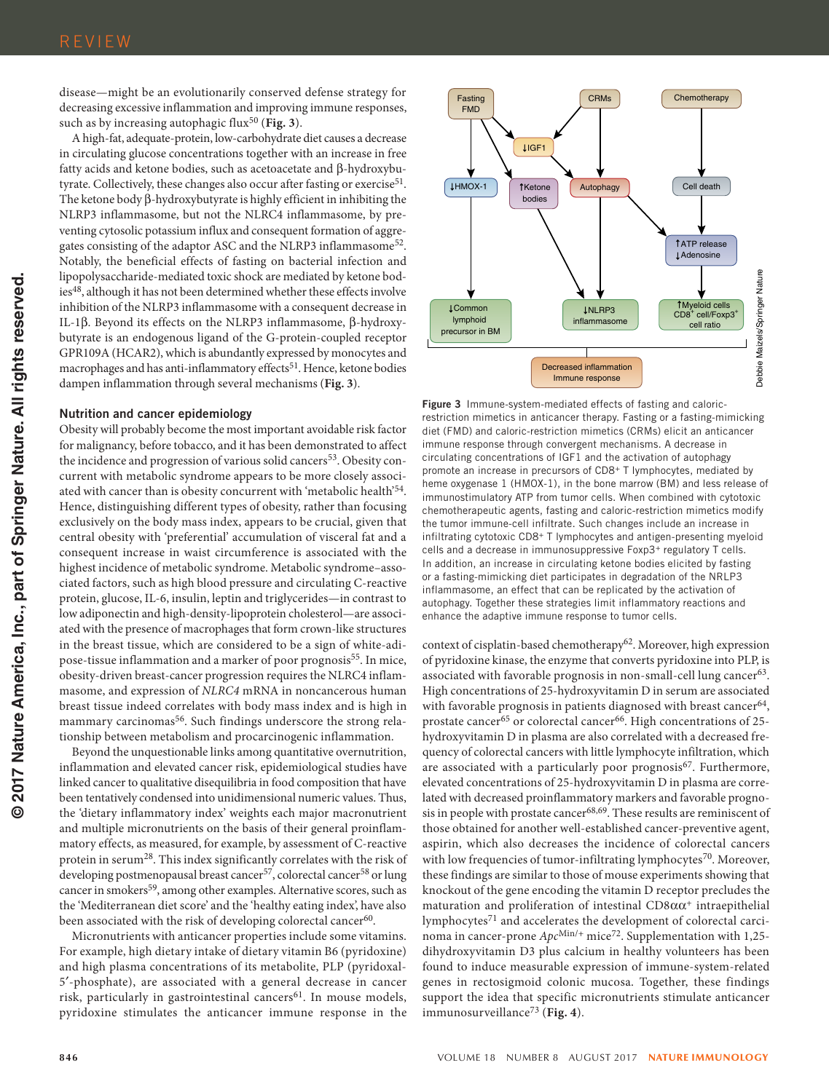disease—might be an evolutionarily conserved defense strategy for decreasing excessive inflammation and improving immune responses, such as by increasing autophagic flux<sup>[50](#page-6-33)</sup> ([Fig. 3](#page-3-0)).

A high-fat, adequate-protein, low-carbohydrate diet causes a decrease in circulating glucose concentrations together with an increase in free fatty acids and ketone bodies, such as acetoacetate and β-hydroxybu-tyrate. Collectively, these changes also occur after fasting or exercise<sup>[51](#page-6-34)</sup>. The ketone body β-hydroxybutyrate is highly efficient in inhibiting the NLRP3 inflammasome, but not the NLRC4 inflammasome, by preventing cytosolic potassium influx and consequent formation of aggregates consisting of the adaptor ASC and the NLRP3 inflammasome[52](#page-6-35). Notably, the beneficial effects of fasting on bacterial infection and lipopolysaccharide-mediated toxic shock are mediated by ketone bod-ies<sup>[48](#page-6-31)</sup>, although it has not been determined whether these effects involve inhibition of the NLRP3 inflammasome with a consequent decrease in IL-1β. Beyond its effects on the NLRP3 inflammasome, β-hydroxybutyrate is an endogenous ligand of the G-protein-coupled receptor GPR109A (HCAR2), which is abundantly expressed by monocytes and macrophages and has anti-inflammatory effects<sup>51</sup>. Hence, ketone bodies dampen inflammation through several mechanisms (**[Fig. 3](#page-3-0)**).

### Nutrition and cancer epidemiology

Obesity will probably become the most important avoidable risk factor for malignancy, before tobacco, and it has been demonstrated to affect the incidence and progression of various solid cancers<sup>[53](#page-6-36)</sup>. Obesity concurrent with metabolic syndrome appears to be more closely associ-ated with cancer than is obesity concurrent with 'metabolic health'<sup>[54](#page-6-37)</sup>. Hence, distinguishing different types of obesity, rather than focusing exclusively on the body mass index, appears to be crucial, given that central obesity with 'preferential' accumulation of visceral fat and a consequent increase in waist circumference is associated with the highest incidence of metabolic syndrome. Metabolic syndrome–associated factors, such as high blood pressure and circulating C-reactive protein, glucose, IL-6, insulin, leptin and triglycerides—in contrast to low adiponectin and high-density-lipoprotein cholesterol—are associated with the presence of macrophages that form crown-like structures in the breast tissue, which are considered to be a sign of white-adipose-tissue inflammation and a marker of poor prognosis<sup>55</sup>. In mice, obesity-driven breast-cancer progression requires the NLRC4 inflammasome, and expression of *NLRC4* mRNA in noncancerous human breast tissue indeed correlates with body mass index and is high in mammary carcinomas<sup>[56](#page-6-39)</sup>. Such findings underscore the strong relationship between metabolism and procarcinogenic inflammation.

Beyond the unquestionable links among quantitative overnutrition, inflammation and elevated cancer risk, epidemiological studies have linked cancer to qualitative disequilibria in food composition that have been tentatively condensed into unidimensional numeric values. Thus, the 'dietary inflammatory index' weights each major macronutrient and multiple micronutrients on the basis of their general proinflammatory effects, as measured, for example, by assessment of C-reactive protein in serum[28.](#page-6-11) This index significantly correlates with the risk of developing postmenopausal breast cancer<sup>[57](#page-6-40)</sup>, colorectal cancer<sup>58</sup> or lung cancer in smokers<sup>59</sup>, among other examples. Alternative scores, such as the 'Mediterranean diet score' and the 'healthy eating index', have also been associated with the risk of developing colorectal cancer<sup>[60](#page-6-43)</sup>.

Micronutrients with anticancer properties include some vitamins. For example, high dietary intake of dietary vitamin B6 (pyridoxine) and high plasma concentrations of its metabolite, PLP (pyridoxal-5′-phosphate), are associated with a general decrease in cancer risk, particularly in gastrointestinal cancers<sup>[61](#page-6-44)</sup>. In mouse models, pyridoxine stimulates the anticancer immune response in the



<span id="page-3-0"></span>Figure 3 Immune-system-mediated effects of fasting and caloricrestriction mimetics in anticancer therapy. Fasting or a fasting-mimicking diet (FMD) and caloric-restriction mimetics (CRMs) elicit an anticancer immune response through convergent mechanisms. A decrease in circulating concentrations of IGF1 and the activation of autophagy promote an increase in precursors of CD8+ T lymphocytes, mediated by heme oxygenase 1 (HMOX-1), in the bone marrow (BM) and less release of immunostimulatory ATP from tumor cells. When combined with cytotoxic chemotherapeutic agents, fasting and caloric-restriction mimetics modify the tumor immune-cell infiltrate. Such changes include an increase in infiltrating cytotoxic CD8+ T lymphocytes and antigen-presenting myeloid cells and a decrease in immunosuppressive Foxp3+ regulatory T cells. In addition, an increase in circulating ketone bodies elicited by fasting or a fasting-mimicking diet participates in degradation of the NRLP3 inflammasome, an effect that can be replicated by the activation of autophagy. Together these strategies limit inflammatory reactions and enhance the adaptive immune response to tumor cells.

context of cisplatin-based chemotherapy<sup>[62](#page-6-45)</sup>. Moreover, high expression of pyridoxine kinase, the enzyme that converts pyridoxine into PLP, is associated with favorable prognosis in non-small-cell lung cancer[63](#page-6-46). High concentrations of 25-hydroxyvitamin D in serum are associated with favorable prognosis in patients diagnosed with breast cancer $64$ , prostate cancer<sup>65</sup> or colorectal cancer<sup>[66](#page-6-49)</sup>. High concentrations of 25hydroxyvitamin D in plasma are also correlated with a decreased frequency of colorectal cancers with little lymphocyte infiltration, which are associated with a particularly poor prognosis<sup>[67](#page-6-50)</sup>. Furthermore, elevated concentrations of 25-hydroxyvitamin D in plasma are correlated with decreased proinflammatory markers and favorable progno-sis in people with prostate cancer<sup>[68,](#page-6-51)69</sup>. These results are reminiscent of those obtained for another well-established cancer-preventive agent, aspirin, which also decreases the incidence of colorectal cancers with low frequencies of tumor-infiltrating lymphocytes<sup>[70](#page-6-53)</sup>. Moreover, these findings are similar to those of mouse experiments showing that knockout of the gene encoding the vitamin D receptor precludes the maturation and proliferation of intestinal  $CD8\alpha\alpha^+$  intraepithelial lymphocytes[71](#page-6-54) and accelerates the development of colorectal carcinoma in cancer-prone *Apc*Min/+ mic[e72.](#page-6-55) Supplementation with 1,25 dihydroxyvitamin D3 plus calcium in healthy volunteers has been found to induce measurable expression of immune-system-related genes in rectosigmoid colonic mucosa. Together, these findings support the idea that specific micronutrients stimulate anticancer immunosurveillance[73](#page-6-56) (**[Fig. 4](#page-4-0)**).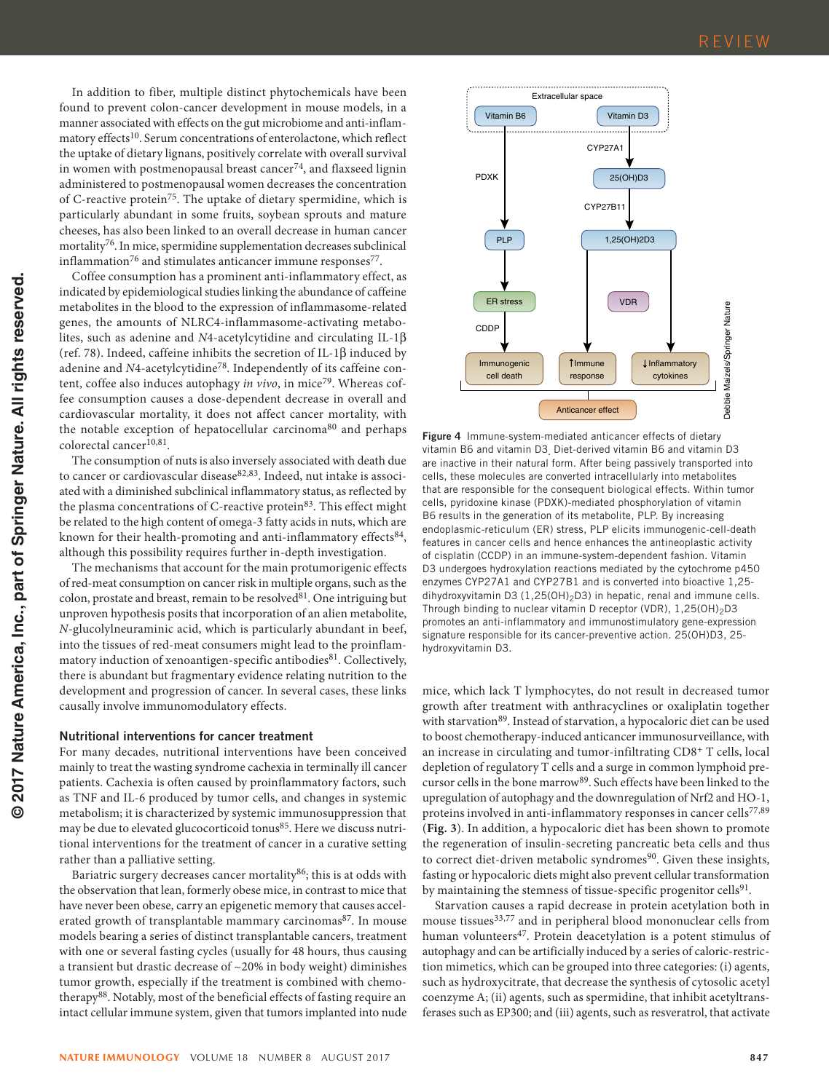In addition to fiber, multiple distinct phytochemicals have been found to prevent colon-cancer development in mouse models, in a manner associated with effects on the gut microbiome and anti-inflammatory effects<sup>10</sup>. Serum concentrations of enterolactone, which reflect the uptake of dietary lignans, positively correlate with overall survival in women with postmenopausal breast cancer<sup>[74](#page-6-57)</sup>, and flaxseed lignin administered to postmenopausal women decreases the concentration of C-reactive protein[75.](#page-6-58) The uptake of dietary spermidine, which is particularly abundant in some fruits, soybean sprouts and mature cheeses, has also been linked to an overall decrease in human cancer mortality[76.](#page-7-0) In mice, spermidine supplementation decreases subclinical inflammation<sup>76</sup> and stimulates anticancer immune responses<sup>77</sup>.

Coffee consumption has a prominent anti-inflammatory effect, as indicated by epidemiological studies linking the abundance of caffeine metabolites in the blood to the expression of inflammasome-related genes, the amounts of NLRC4-inflammasome-activating metabolites, such as adenine and *N*4-acetylcytidine and circulating IL-1β (ref. [78\)](#page-7-2). Indeed, caffeine inhibits the secretion of IL-1β induced by adenine and *N*4-acetylcytidine<sup>78</sup>. Independently of its caffeine content, coffee also induces autophagy *in vivo*, in mice<sup>79</sup>. Whereas coffee consumption causes a dose-dependent decrease in overall and cardiovascular mortality, it does not affect cancer mortality, with the notable exception of hepatocellular carcinoma<sup>[80](#page-7-4)</sup> and perhaps colorectal cancer<sup>[10,](#page-5-9)81</sup>.

The consumption of nuts is also inversely associated with death due to cancer or cardiovascular disease<sup>[82,](#page-7-6)[83](#page-7-7)</sup>. Indeed, nut intake is associated with a diminished subclinical inflammatory status, as reflected by the plasma concentrations of C-reactive protein<sup>[83](#page-7-7)</sup>. This effect might be related to the high content of omega-3 fatty acids in nuts, which are known for their health-promoting and anti-inflammatory effects<sup>[84](#page-7-8)</sup>, although this possibility requires further in-depth investigation.

The mechanisms that account for the main protumorigenic effects of red-meat consumption on cancer risk in multiple organs, such as the colon, prostate and breast, remain to be resolved<sup>[81](#page-7-5)</sup>. One intriguing but unproven hypothesis posits that incorporation of an alien metabolite, *N*-glucolylneuraminic acid, which is particularly abundant in beef, into the tissues of red-meat consumers might lead to the proinflammatory induction of xenoantigen-specific antibodies  $81$ . Collectively, there is abundant but fragmentary evidence relating nutrition to the development and progression of cancer. In several cases, these links causally involve immunomodulatory effects.

#### Nutritional interventions for cancer treatment

For many decades, nutritional interventions have been conceived mainly to treat the wasting syndrome cachexia in terminally ill cancer patients. Cachexia is often caused by proinflammatory factors, such as TNF and IL-6 produced by tumor cells, and changes in systemic metabolism; it is characterized by systemic immunosuppression that may be due to elevated glucocorticoid tonus<sup>85</sup>. Here we discuss nutritional interventions for the treatment of cancer in a curative setting rather than a palliative setting.

Bariatric surgery decreases cancer mortality[86](#page-7-10); this is at odds with the observation that lean, formerly obese mice, in contrast to mice that have never been obese, carry an epigenetic memory that causes accelerated growth of transplantable mammary carcinomas<sup>87</sup>. In mouse models bearing a series of distinct transplantable cancers, treatment with one or several fasting cycles (usually for 48 hours, thus causing a transient but drastic decrease of ~20% in body weight) diminishes tumor growth, especially if the treatment is combined with chemotherapy[88](#page-7-12). Notably, most of the beneficial effects of fasting require an intact cellular immune system, given that tumors implanted into nude



<span id="page-4-0"></span>Figure 4 Immune-system-mediated anticancer effects of dietary vitamin B6 and vitamin D3**.** Diet-derived vitamin B6 and vitamin D3 are inactive in their natural form. After being passively transported into cells, these molecules are converted intracellularly into metabolites that are responsible for the consequent biological effects. Within tumor cells, pyridoxine kinase (PDXK)-mediated phosphorylation of vitamin B6 results in the generation of its metabolite, PLP. By increasing endoplasmic-reticulum (ER) stress, PLP elicits immunogenic-cell-death features in cancer cells and hence enhances the antineoplastic activity of cisplatin (CCDP) in an immune-system-dependent fashion. Vitamin D3 undergoes hydroxylation reactions mediated by the cytochrome p450 enzymes CYP27A1 and CYP27B1 and is converted into bioactive 1,25 dihydroxyvitamin D3  $(1,25(OH)_2D3)$  in hepatic, renal and immune cells. Through binding to nuclear vitamin D receptor (VDR),  $1,25(OH)<sub>2</sub>D3$ promotes an anti-inflammatory and immunostimulatory gene-expression signature responsible for its cancer-preventive action. 25(OH)D3, 25 hydroxyvitamin D3.

mice, which lack T lymphocytes, do not result in decreased tumor growth after treatment with anthracyclines or oxaliplatin together with starvation<sup>[89](#page-7-13)</sup>. Instead of starvation, a hypocaloric diet can be used to boost chemotherapy-induced anticancer immunosurveillance, with an increase in circulating and tumor-infiltrating CD8+ T cells, local depletion of regulatory T cells and a surge in common lymphoid precursor cells in the bone marrow[89.](#page-7-13) Such effects have been linked to the upregulation of autophagy and the downregulation of Nrf2 and HO-1, proteins involved in anti-inflammatory responses in cancer cells<sup>[77,](#page-7-1)[89](#page-7-13)</sup> (**[Fig. 3](#page-3-0)**). In addition, a hypocaloric diet has been shown to promote the regeneration of insulin-secreting pancreatic beta cells and thus to correct diet-driven metabolic syndromes<sup>[90](#page-7-14)</sup>. Given these insights, fasting or hypocaloric diets might also prevent cellular transformation by maintaining the stemness of tissue-specific progenitor cells<sup>91</sup>.

Starvation causes a rapid decrease in protein acetylation both in mouse tissues<sup>[33,](#page-6-16)[77](#page-7-1)</sup> and in peripheral blood mononuclear cells from human volunteers<sup>[47](#page-6-30)</sup>. Protein deacetylation is a potent stimulus of autophagy and can be artificially induced by a series of caloric-restriction mimetics, which can be grouped into three categories: (i) agents, such as hydroxycitrate, that decrease the synthesis of cytosolic acetyl coenzyme A; (ii) agents, such as spermidine, that inhibit acetyltransferases such as EP300; and (iii) agents, such as resveratrol, that activate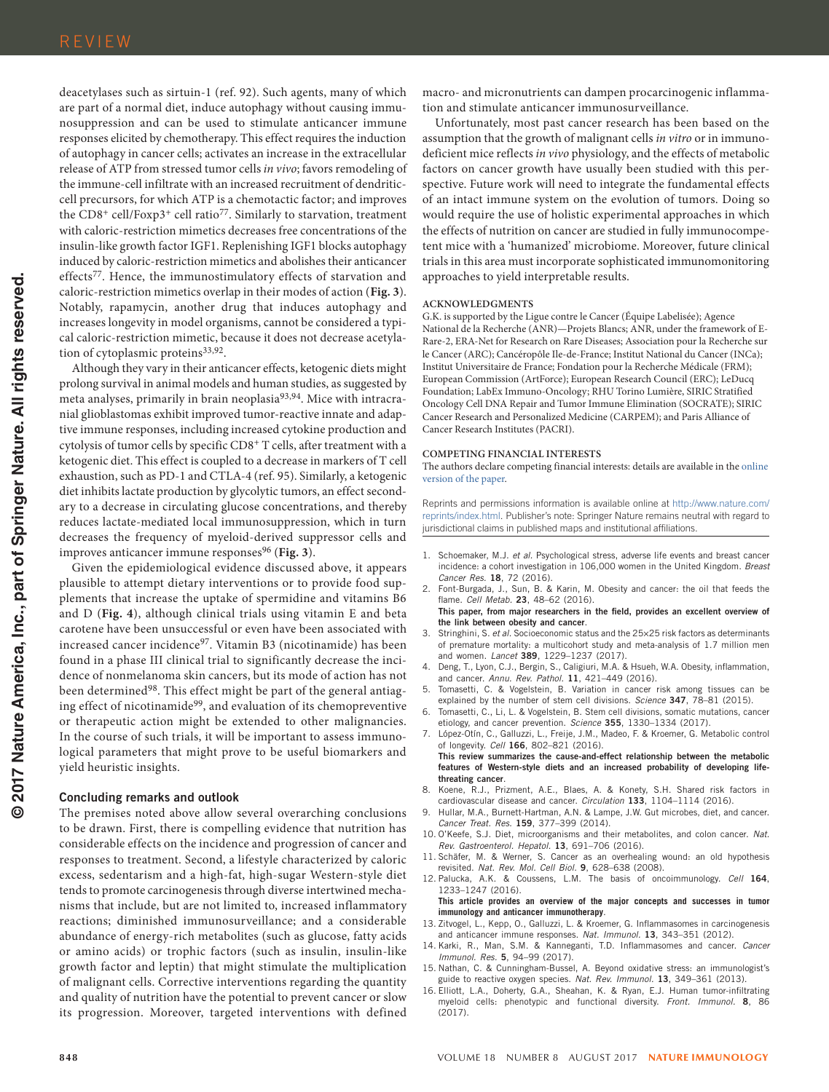deacetylases such as sirtuin-1 (ref. [92\)](#page-7-16). Such agents, many of which are part of a normal diet, induce autophagy without causing immunosuppression and can be used to stimulate anticancer immune responses elicited by chemotherapy. This effect requires the induction of autophagy in cancer cells; activates an increase in the extracellular release of ATP from stressed tumor cells *in vivo*; favors remodeling of the immune-cell infiltrate with an increased recruitment of dendriticcell precursors, for which ATP is a chemotactic factor; and improves the CD8<sup>+</sup> cell/Foxp3<sup>+</sup> cell ratio<sup>77</sup>. Similarly to starvation, treatment with caloric-restriction mimetics decreases free concentrations of the insulin-like growth factor IGF1. Replenishing IGF1 blocks autophagy induced by caloric-restriction mimetics and abolishes their anticancer effects<sup>[77](#page-7-1)</sup>. Hence, the immunostimulatory effects of starvation and caloric-restriction mimetics overlap in their modes of action (**[Fig. 3](#page-3-0)**). Notably, rapamycin, another drug that induces autophagy and increases longevity in model organisms, cannot be considered a typical caloric-restriction mimetic, because it does not decrease acetyla-tion of cytoplasmic proteins<sup>[33,](#page-6-16)[92](#page-7-16)</sup>.

Although they vary in their anticancer effects, ketogenic diets might prolong survival in animal models and human studies, as suggested by meta analyses, primarily in brain neoplasia[93,](#page-7-17)[94.](#page-7-18) Mice with intracranial glioblastomas exhibit improved tumor-reactive innate and adaptive immune responses, including increased cytokine production and cytolysis of tumor cells by specific CD8+ T cells, after treatment with a ketogenic diet. This effect is coupled to a decrease in markers of T cell exhaustion, such as PD-1 and CTLA-4 (ref. [95\)](#page-7-19). Similarly, a ketogenic diet inhibits lactate production by glycolytic tumors, an effect secondary to a decrease in circulating glucose concentrations, and thereby reduces lactate-mediated local immunosuppression, which in turn decreases the frequency of myeloid-derived suppressor cells and improves anticancer immune responses<sup>[96](#page-7-20)</sup> ([Fig. 3](#page-3-0)).

Given the epidemiological evidence discussed above, it appears plausible to attempt dietary interventions or to provide food supplements that increase the uptake of spermidine and vitamins B6 and D (**[Fig. 4](#page-4-0)**), although clinical trials using vitamin E and beta carotene have been unsuccessful or even have been associated with increased cancer incidence[97](#page-7-21). Vitamin B3 (nicotinamide) has been found in a phase III clinical trial to significantly decrease the incidence of nonmelanoma skin cancers, but its mode of action has not been determined<sup>98</sup>. This effect might be part of the general antiag-ing effect of nicotinamide<sup>[99](#page-7-23)</sup>, and evaluation of its chemopreventive or therapeutic action might be extended to other malignancies. In the course of such trials, it will be important to assess immunological parameters that might prove to be useful biomarkers and yield heuristic insights.

### Concluding remarks and outlook

The premises noted above allow several overarching conclusions to be drawn. First, there is compelling evidence that nutrition has considerable effects on the incidence and progression of cancer and responses to treatment. Second, a lifestyle characterized by caloric excess, sedentarism and a high-fat, high-sugar Western-style diet tends to promote carcinogenesis through diverse intertwined mechanisms that include, but are not limited to, increased inflammatory reactions; diminished immunosurveillance; and a considerable abundance of energy-rich metabolites (such as glucose, fatty acids or amino acids) or trophic factors (such as insulin, insulin-like growth factor and leptin) that might stimulate the multiplication of malignant cells. Corrective interventions regarding the quantity and quality of nutrition have the potential to prevent cancer or slow its progression. Moreover, targeted interventions with defined

macro- and micronutrients can dampen procarcinogenic inflammation and stimulate anticancer immunosurveillance.

Unfortunately, most past cancer research has been based on the assumption that the growth of malignant cells *in vitro* or in immunodeficient mice reflects *in vivo* physiology, and the effects of metabolic factors on cancer growth have usually been studied with this perspective. Future work will need to integrate the fundamental effects of an intact immune system on the evolution of tumors. Doing so would require the use of holistic experimental approaches in which the effects of nutrition on cancer are studied in fully immunocompetent mice with a 'humanized' microbiome. Moreover, future clinical trials in this area must incorporate sophisticated immunomonitoring approaches to yield interpretable results.

#### **Acknowledgments**

G.K. is supported by the Ligue contre le Cancer (Équipe Labelisée); Agence National de la Recherche (ANR)—Projets Blancs; ANR, under the framework of E-Rare-2, ERA-Net for Research on Rare Diseases; Association pour la Recherche sur le Cancer (ARC); Cancéropôle Ile-de-France; Institut National du Cancer (INCa); Institut Universitaire de France; Fondation pour la Recherche Médicale (FRM); European Commission (ArtForce); European Research Council (ERC); LeDucq Foundation; LabEx Immuno-Oncology; RHU Torino Lumière, SIRIC Stratified Oncology Cell DNA Repair and Tumor Immune Elimination (SOCRATE); SIRIC Cancer Research and Personalized Medicine (CARPEM); and Paris Alliance of Cancer Research Institutes (PACRI).

#### **COMPETING FINANCIAL INTERESTS**

The authors declare competing financial interests: details are available in the [online](http://dx.doi.org/10.1038/ni.3754)  [version of the paper.](http://dx.doi.org/10.1038/ni.3754)

Reprints and permissions information is available online at [http://www.nature.com/](http://www.nature.com/reprints/index.html) [reprints/index.html.](http://www.nature.com/reprints/index.html) Publisher's note: Springer Nature remains neutral with regard to jurisdictional claims in published maps and institutional affiliations.

- <span id="page-5-0"></span>1. Schoemaker, M.J. *et al.* Psychological stress, adverse life events and breast cancer incidence: a cohort investigation in 106,000 women in the United Kingdom. *Breast Cancer Res.* 18, 72 (2016).
- <span id="page-5-1"></span>2. Font-Burgada, J., Sun, B. & Karin, M. Obesity and cancer: the oil that feeds the flame. *Cell Metab.* 23, 48–62 (2016).
- This paper, from major researchers in the field, provides an excellent overview of the link between obesity and cancer.
- <span id="page-5-2"></span>3. Stringhini, S. *et al.* Socioeconomic status and the 25×25 risk factors as determinants of premature mortality: a multicohort study and meta-analysis of 1.7 million men and women. *Lancet* 389, 1229–1237 (2017).
- <span id="page-5-3"></span>4. Deng, T., Lyon, C.J., Bergin, S., Caligiuri, M.A. & Hsueh, W.A. Obesity, inflammation, and cancer. *Annu. Rev. Pathol.* 11, 421–449 (2016).
- <span id="page-5-4"></span>5. Tomasetti, C. & Vogelstein, B. Variation in cancer risk among tissues can be explained by the number of stem cell divisions. *Science* 347, 78–81 (2015).
- <span id="page-5-5"></span>6. Tomasetti, C., Li, L. & Vogelstein, B. Stem cell divisions, somatic mutations, cancer etiology, and cancer prevention. *Science* 355, 1330–1334 (2017).
- <span id="page-5-6"></span>7. López-Otín, C., Galluzzi, L., Freije, J.M., Madeo, F. & Kroemer, G. Metabolic control of longevity. *Cell* 166, 802–821 (2016). This review summarizes the cause-and-effect relationship between the metabolic features of Western-style diets and an increased probability of developing lifethreating cancer.
- <span id="page-5-7"></span>8. Koene, R.J., Prizment, A.E., Blaes, A. & Konety, S.H. Shared risk factors in cardiovascular disease and cancer. *Circulation* 133, 1104–1114 (2016).
- <span id="page-5-8"></span>9. Hullar, M.A., Burnett-Hartman, A.N. & Lampe, J.W. Gut microbes, diet, and cancer. *Cancer Treat. Res.* 159, 377–399 (2014).
- <span id="page-5-9"></span>10. O'Keefe, S.J. Diet, microorganisms and their metabolites, and colon cancer. *Nat. Rev. Gastroenterol. Hepatol.* 13, 691–706 (2016).
- <span id="page-5-10"></span>11. Schäfer, M. & Werner, S. Cancer as an overhealing wound: an old hypothesis revisited. *Nat. Rev. Mol. Cell Biol.* 9, 628–638 (2008).
- <span id="page-5-11"></span>12. Palucka, A.K. & Coussens, L.M. The basis of oncoimmunology. *Cell* 164, 1233–1247 (2016).
- **This article provides an overview of the major concepts and successes in tumor immunology and anticancer immunotherapy**. 13. Zitvogel, L., Kepp, O., Galluzzi, L. & Kroemer, G. Inflammasomes in carcinogenesis
- <span id="page-5-12"></span>and anticancer immune responses. *Nat. Immunol.* 13, 343–351 (2012). 14. Karki, R., Man, S.M. & Kanneganti, T.D. Inflammasomes and cancer. *Cancer*
- <span id="page-5-13"></span>*Immunol. Res.* 5, 94–99 (2017). 15. Nathan, C. & Cunningham-Bussel, A. Beyond oxidative stress: an immunologist's
- guide to reactive oxygen species. *Nat. Rev. Immunol.* 13, 349–361 (2013). 16. Elliott, L.A., Doherty, G.A., Sheahan, K. & Ryan, E.J. Human tumor-infiltrating
- <span id="page-5-14"></span>myeloid cells: phenotypic and functional diversity. *Front. Immunol.* 8, 86 (2017).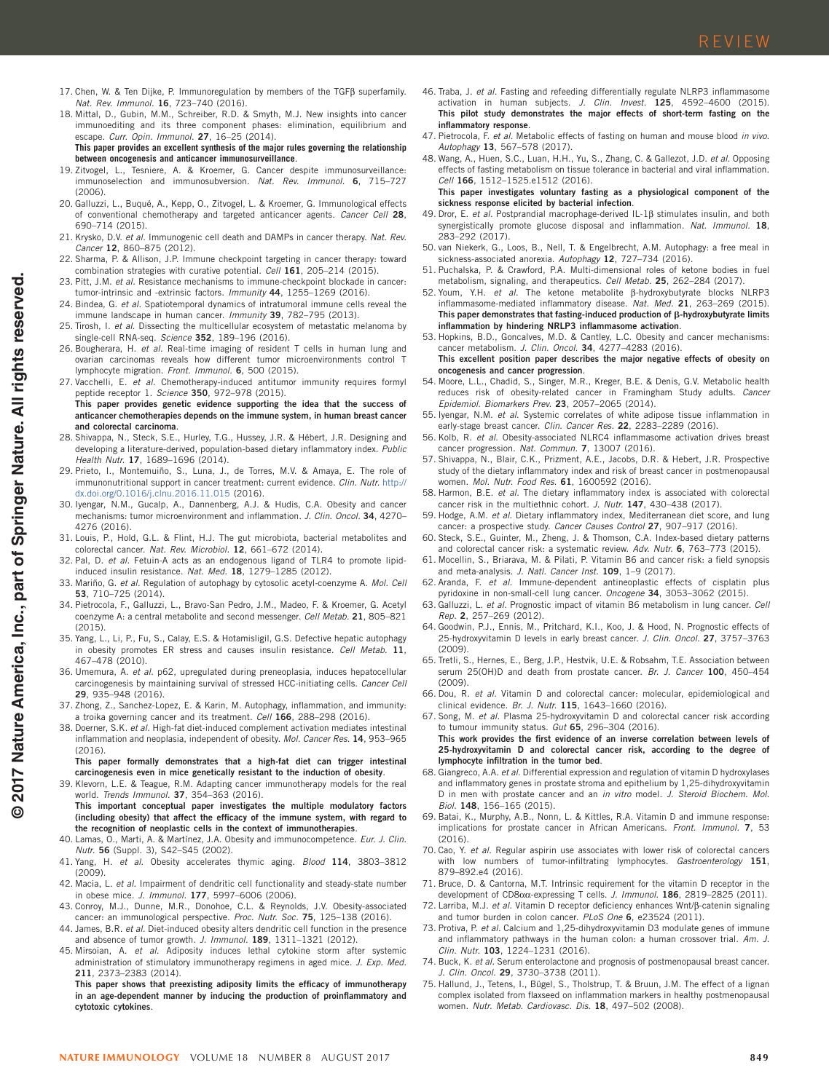- <span id="page-6-0"></span>17. Chen, W. & Ten Dijke, P. Immunoregulation by members of the TGFβ superfamily. *Nat. Rev. Immunol.* 16, 723–740 (2016).
- <span id="page-6-1"></span>18. Mittal, D., Gubin, M.M., Schreiber, R.D. & Smyth, M.J. New insights into cancer immunoediting and its three component phases: elimination, equilibrium and escape. *Curr. Opin. Immunol.* 27, 16–25 (2014).

**This paper provides an excellent synthesis of the major rules governing the relationship between oncogenesis and anticancer immunosurveillance**.

- <span id="page-6-2"></span>19. Zitvogel, L., Tesniere, A. & Kroemer, G. Cancer despite immunosurveillance: immunoselection and immunosubversion. *Nat. Rev. Immunol.* 6, 715–727 (2006).
- <span id="page-6-3"></span>20. Galluzzi, L., Buqué, A., Kepp, O., Zitvogel, L. & Kroemer, G. Immunological effects of conventional chemotherapy and targeted anticancer agents. *Cancer Cell* 28, 690–714 (2015).
- <span id="page-6-4"></span>21. Krysko, D.V. *et al.* Immunogenic cell death and DAMPs in cancer therapy. *Nat. Rev. Cancer* 12, 860–875 (2012).
- <span id="page-6-5"></span>22. Sharma, P. & Allison, J.P. Immune checkpoint targeting in cancer therapy: toward combination strategies with curative potential. *Cell* 161, 205–214 (2015).
- <span id="page-6-6"></span>23. Pitt, J.M. *et al.* Resistance mechanisms to immune-checkpoint blockade in cancer: tumor-intrinsic and -extrinsic factors. *Immunity* 44, 1255–1269 (2016).
- <span id="page-6-7"></span>24. Bindea, G. *et al.* Spatiotemporal dynamics of intratumoral immune cells reveal the immune landscape in human cancer. *Immunity* 39, 782–795 (2013).
- <span id="page-6-8"></span>25. Tirosh, I. *et al.* Dissecting the multicellular ecosystem of metastatic melanoma by single-cell RNA-seq. *Science* 352, 189–196 (2016).
- <span id="page-6-9"></span>26. Bougherara, H. *et al.* Real-time imaging of resident T cells in human lung and ovarian carcinomas reveals how different tumor microenvironments control T lymphocyte migration. *Front. Immunol.* 6, 500 (2015).
- <span id="page-6-10"></span>27. Vacchelli, E. *et al.* Chemotherapy-induced antitumor immunity requires formyl peptide receptor 1. *Science* 350, 972–978 (2015).

#### This paper provides genetic evidence supporting the idea that the success of anticancer chemotherapies depends on the immune system, in human breast cancer and colorectal carcinoma.

- <span id="page-6-11"></span>28. Shivappa, N., Steck, S.E., Hurley, T.G., Hussey, J.R. & Hébert, J.R. Designing and developing a literature-derived, population-based dietary inflammatory index. *Public Health Nutr.* 17, 1689–1696 (2014).
- <span id="page-6-12"></span>29. Prieto, I., Montemuiño, S., Luna, J., de Torres, M.V. & Amaya, E. The role of immunonutritional support in cancer treatment: current evidence. *Clin. Nutr.* [http://](http://dx.doi.org/10.1016/j.clnu.2016.11.015) [dx.doi.org/0.1016/j.clnu.2016.11.015](http://dx.doi.org/10.1016/j.clnu.2016.11.015) (2016).
- <span id="page-6-13"></span>30. Iyengar, N.M., Gucalp, A., Dannenberg, A.J. & Hudis, C.A. Obesity and cancer mechanisms: tumor microenvironment and inflammation. *J. Clin. Oncol.* 34, 4270– 4276 (2016).
- <span id="page-6-14"></span>31. Louis, P., Hold, G.L. & Flint, H.J. The gut microbiota, bacterial metabolites and colorectal cancer. *Nat. Rev. Microbiol.* 12, 661–672 (2014).
- <span id="page-6-15"></span>32. Pal, D. *et al.* Fetuin-A acts as an endogenous ligand of TLR4 to promote lipidinduced insulin resistance. *Nat. Med.* 18, 1279–1285 (2012).
- <span id="page-6-16"></span>33. Mariño, G. *et al.* Regulation of autophagy by cytosolic acetyl-coenzyme A. *Mol. Cell* 53, 710–725 (2014).
- <span id="page-6-17"></span>34. Pietrocola, F., Galluzzi, L., Bravo-San Pedro, J.M., Madeo, F. & Kroemer, G. Acetyl coenzyme A: a central metabolite and second messenger. *Cell Metab.* 21, 805–821  $(2015)$
- <span id="page-6-18"></span>35. Yang, L., Li, P., Fu, S., Calay, E.S. & Hotamisligil, G.S. Defective hepatic autophagy in obesity promotes ER stress and causes insulin resistance. *Cell Metab.* 11, 467–478 (2010).
- <span id="page-6-19"></span>36. Umemura, A. *et al.* p62, upregulated during preneoplasia, induces hepatocellular carcinogenesis by maintaining survival of stressed HCC-initiating cells. *Cancer Cell* 29, 935–948 (2016).
- <span id="page-6-20"></span>37. Zhong, Z., Sanchez-Lopez, E. & Karin, M. Autophagy, inflammation, and immunity: a troika governing cancer and its treatment. *Cell* 166, 288–298 (2016).
- <span id="page-6-21"></span>38. Doerner, S.K. *et al.* High-fat diet-induced complement activation mediates intestinal inflammation and neoplasia, independent of obesity. *Mol. Cancer Res.* 14, 953–965 (2016).

#### This paper formally demonstrates that a high-fat diet can trigger intestinal carcinogenesis even in mice genetically resistant to the induction of obesity.

<span id="page-6-22"></span>39. Klevorn, L.E. & Teague, R.M. Adapting cancer immunotherapy models for the real world. *Trends Immunol.* 37, 354–363 (2016).

This important conceptual paper investigates the multiple modulatory factors (including obesity) that affect the efficacy of the immune system, with regard to the recognition of neoplastic cells in the context of immunotherapies.

- <span id="page-6-23"></span>40. Lamas, O., Marti, A. & Martínez, J.A. Obesity and immunocompetence. *Eur. J. Clin. Nutr.* 56 (Suppl. 3), S42–S45 (2002).
- <span id="page-6-24"></span>41. Yang, H. *et al.* Obesity accelerates thymic aging. *Blood* 114, 3803–3812 (2009). 42. Macia, L. *et al.* Impairment of dendritic cell functionality and steady-state number
- <span id="page-6-25"></span>in obese mice. *J. Immunol.* 177, 5997–6006 (2006). 43. Conroy, M.J., Dunne, M.R., Donohoe, C.L. & Reynolds, J.V. Obesity-associated
- <span id="page-6-26"></span>cancer: an immunological perspective. *Proc. Nutr. Soc.* 75, 125–138 (2016). 44. James, B.R. *et al.* Diet-induced obesity alters dendritic cell function in the presence
- <span id="page-6-27"></span>and absence of tumor growth. *J. Immunol.* 189, 1311–1321 (2012). 45. Mirsoian, A. *et al.* Adiposity induces lethal cytokine storm after systemic
- <span id="page-6-28"></span>administration of stimulatory immunotherapy regimens in aged mice. *J. Exp. Med.* 211, 2373–2383 (2014).

This paper shows that preexisting adiposity limits the efficacy of immunotherapy in an age-dependent manner by inducing the production of proinflammatory and cytotoxic cytokines.

- <span id="page-6-29"></span>46. Traba, J. *et al.* Fasting and refeeding differentially regulate NLRP3 inflammasome activation in human subjects. *J. Clin. Invest.* 125, 4592–4600 (2015). This pilot study demonstrates the major effects of short-term fasting on the inflammatory response.
- <span id="page-6-30"></span>47. Pietrocola, F. *et al.* Metabolic effects of fasting on human and mouse blood *in vivo*. *Autophagy* 13, 567–578 (2017).
- <span id="page-6-31"></span>48. Wang, A., Huen, S.C., Luan, H.H., Yu, S., Zhang, C. & Gallezot, J.D. *et al.* Opposing effects of fasting metabolism on tissue tolerance in bacterial and viral inflammation. *Cell* 166, 1512–1525.e1512 (2016).

This paper investigates voluntary fasting as a physiological component of the sickness response elicited by bacterial infection.

- <span id="page-6-32"></span>49. Dror, E. *et al.* Postprandial macrophage-derived IL-1β stimulates insulin, and both synergistically promote glucose disposal and inflammation. *Nat. Immunol.* 18, 283–292 (2017).
- <span id="page-6-33"></span>50. van Niekerk, G., Loos, B., Nell, T. & Engelbrecht, A.M. Autophagy: a free meal in sickness-associated anorexia. *Autophagy* 12, 727–734 (2016).
- <span id="page-6-34"></span>51. Puchalska, P. & Crawford, P.A. Multi-dimensional roles of ketone bodies in fuel metabolism, signaling, and therapeutics. *Cell Metab.* 25, 262–284 (2017).
- <span id="page-6-35"></span>52. Youm, Y.H. *et al.* The ketone metabolite β-hydroxybutyrate blocks NLRP3 inflammasome-mediated inflammatory disease. *Nat. Med.* 21, 263–269 (2015). This paper demonstrates that fasting-induced production of  $\beta$ -hydroxybutyrate limits inflammation by hindering NRLP3 inflammasome activation.
- <span id="page-6-36"></span>53. Hopkins, B.D., Goncalves, M.D. & Cantley, L.C. Obesity and cancer mechanisms: cancer metabolism. *J. Clin. Oncol.* 34, 4277–4283 (2016).
- This excellent position paper describes the major negative effects of obesity on oncogenesis and cancer progression.
- <span id="page-6-37"></span>54. Moore, L.L., Chadid, S., Singer, M.R., Kreger, B.E. & Denis, G.V. Metabolic health reduces risk of obesity-related cancer in Framingham Study adults. *Cancer Epidemiol. Biomarkers Prev.* 23, 2057–2065 (2014).
- <span id="page-6-38"></span>55. Iyengar, N.M. *et al.* Systemic correlates of white adipose tissue inflammation in early-stage breast cancer. *Clin. Cancer Res.* 22, 2283–2289 (2016).
- <span id="page-6-39"></span>56. Kolb, R. *et al.* Obesity-associated NLRC4 inflammasome activation drives breast cancer progression. *Nat. Commun.* 7, 13007 (2016).
- <span id="page-6-40"></span>57. Shivappa, N., Blair, C.K., Prizment, A.E., Jacobs, D.R. & Hebert, J.R. Prospective study of the dietary inflammatory index and risk of breast cancer in postmenopausal women. *Mol. Nutr. Food Res.* 61, 1600592 (2016).
- <span id="page-6-41"></span>58. Harmon, B.E. *et al.* The dietary inflammatory index is associated with colorectal cancer risk in the multiethnic cohort. *J. Nutr.* 147, 430–438 (2017).
- <span id="page-6-42"></span>59. Hodge, A.M. *et al.* Dietary inflammatory index, Mediterranean diet score, and lung cancer: a prospective study. *Cancer Causes Control* 27, 907–917 (2016).
- <span id="page-6-43"></span>60. Steck, S.E., Guinter, M., Zheng, J. & Thomson, C.A. Index-based dietary patterns and colorectal cancer risk: a systematic review. *Adv. Nutr.* 6, 763–773 (2015).
- <span id="page-6-44"></span>61. Mocellin, S., Briarava, M. & Pilati, P. Vitamin B6 and cancer risk: a field synopsis and meta-analysis. *J. Natl. Cancer Inst.* 109, 1–9 (2017).
- <span id="page-6-45"></span>62. Aranda, F. *et al.* Immune-dependent antineoplastic effects of cisplatin plus pyridoxine in non-small-cell lung cancer. *Oncogene* 34, 3053–3062 (2015). 63. Galluzzi, L. *et al.* Prognostic impact of vitamin B6 metabolism in lung cancer. *Cell*
- <span id="page-6-46"></span>*Rep.* 2, 257–269 (2012).
- <span id="page-6-47"></span>64. Goodwin, P.J., Ennis, M., Pritchard, K.I., Koo, J. & Hood, N. Prognostic effects of 25-hydroxyvitamin D levels in early breast cancer. *J. Clin. Oncol.* 27, 3757–3763  $(2009)$
- <span id="page-6-48"></span>65. Tretli, S., Hernes, E., Berg, J.P., Hestvik, U.E. & Robsahm, T.E. Association between serum 25(OH)D and death from prostate cancer. *Br. J. Cancer* 100, 450–454 (2009).
- <span id="page-6-49"></span>66. Dou, R. *et al.* Vitamin D and colorectal cancer: molecular, epidemiological and clinical evidence. *Br. J. Nutr.* 115, 1643–1660 (2016).
- <span id="page-6-50"></span>67. Song, M. *et al.* Plasma 25-hydroxyvitamin D and colorectal cancer risk according to tumour immunity status. *Gut* 65, 296–304 (2016). This work provides the first evidence of an inverse correlation between levels of
- 25-hydroxyvitamin D and colorectal cancer risk, according to the degree of lymphocyte infiltration in the tumor bed. 68. Giangreco, A.A. *et al.* Differential expression and regulation of vitamin D hydroxylases
- <span id="page-6-51"></span>and inflammatory genes in prostate stroma and epithelium by 1,25-dihydroxyvitamin D in men with prostate cancer and an *in vitro* model. *J. Steroid Biochem. Mol. Biol.* 148, 156–165 (2015).
- <span id="page-6-52"></span>69. Batai, K., Murphy, A.B., Nonn, L. & Kittles, R.A. Vitamin D and immune response: implications for prostate cancer in African Americans. *Front. Immunol.* 7, 53  $(2016)$
- <span id="page-6-53"></span>70. Cao, Y. *et al.* Regular aspirin use associates with lower risk of colorectal cancers with low numbers of tumor-infiltrating lymphocytes. *Gastroenterology* 151, 879–892.e4 (2016).
- <span id="page-6-54"></span>71. Bruce, D. & Cantorna, M.T. Intrinsic requirement for the vitamin D receptor in the development of CD8αα-expressing T cells. *J. Immunol.* 186, 2819–2825 (2011).
- <span id="page-6-55"></span>72. Larriba, M.J. *et al.* Vitamin D receptor deficiency enhances Wnt/β-catenin signaling and tumor burden in colon cancer. *PLoS One* 6, e23524 (2011).
- <span id="page-6-56"></span>73. Protiva, P. *et al.* Calcium and 1,25-dihydroxyvitamin D3 modulate genes of immune and inflammatory pathways in the human colon: a human crossover trial. *Am. J. Clin. Nutr.* **103**, 1224-1231 (2016).
- <span id="page-6-57"></span>74. Buck, K. *et al.* Serum enterolactone and prognosis of postmenopausal breast cancer. *J. Clin. Oncol.* 29, 3730–3738 (2011).
- <span id="page-6-58"></span>75. Hallund, J., Tetens, I., Bügel, S., Tholstrup, T. & Bruun, J.M. The effect of a lignan complex isolated from flaxseed on inflammation markers in healthy postmenopausal women. *Nutr. Metab. Cardiovasc. Dis.* 18, 497–502 (2008).